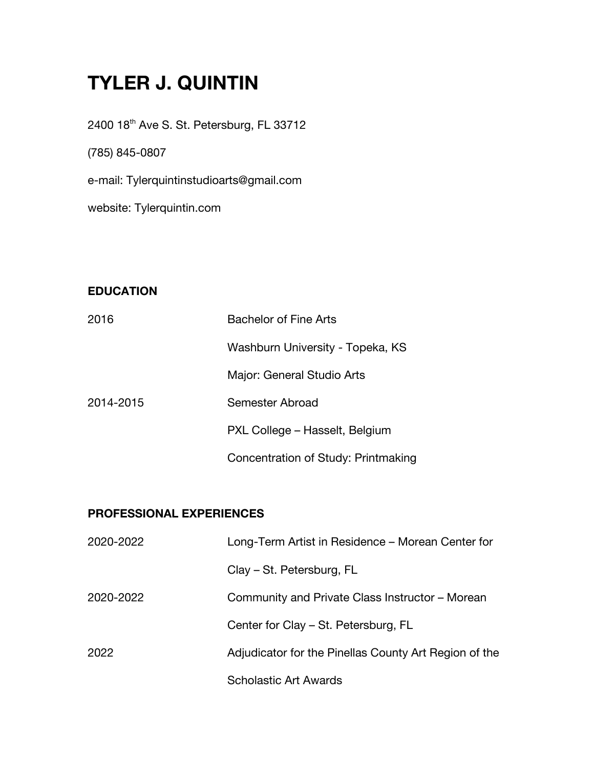# **TYLER J. QUINTIN**

2400 18<sup>th</sup> Ave S. St. Petersburg, FL 33712

(785) 845-0807

e-mail: Tylerquintinstudioarts@gmail.com

website: Tylerquintin.com

## **EDUCATION**

| 2016      | <b>Bachelor of Fine Arts</b>        |
|-----------|-------------------------------------|
|           | Washburn University - Topeka, KS    |
|           | Major: General Studio Arts          |
| 2014-2015 | Semester Abroad                     |
|           | PXL College - Hasselt, Belgium      |
|           | Concentration of Study: Printmaking |

#### **PROFESSIONAL EXPERIENCES**

| 2020-2022 | Long-Term Artist in Residence – Morean Center for     |
|-----------|-------------------------------------------------------|
|           | Clay – St. Petersburg, FL                             |
| 2020-2022 | Community and Private Class Instructor – Morean       |
|           | Center for Clay – St. Petersburg, FL                  |
| 2022      | Adjudicator for the Pinellas County Art Region of the |
|           | <b>Scholastic Art Awards</b>                          |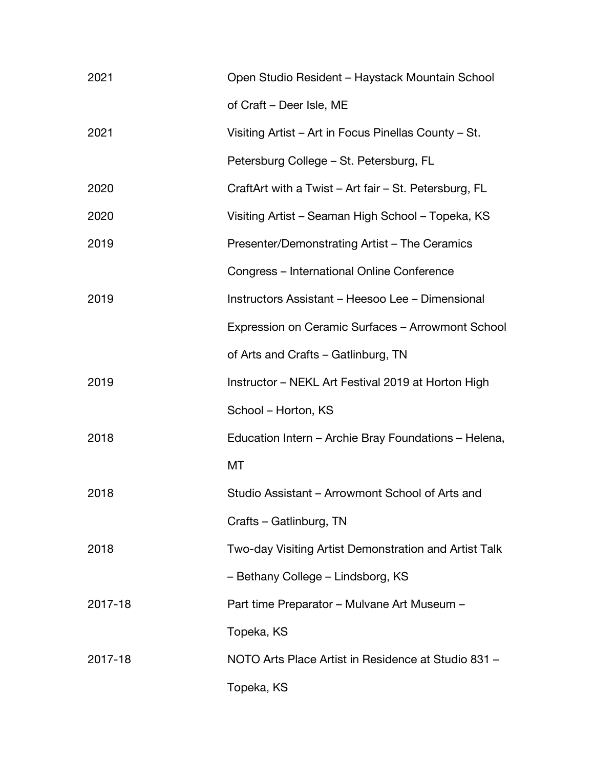| 2021    | Open Studio Resident – Haystack Mountain School       |
|---------|-------------------------------------------------------|
|         | of Craft - Deer Isle, ME                              |
| 2021    | Visiting Artist – Art in Focus Pinellas County – St.  |
|         | Petersburg College - St. Petersburg, FL               |
| 2020    | CraftArt with a Twist – Art fair – St. Petersburg, FL |
| 2020    | Visiting Artist – Seaman High School – Topeka, KS     |
| 2019    | Presenter/Demonstrating Artist - The Ceramics         |
|         | Congress - International Online Conference            |
| 2019    | Instructors Assistant - Heesoo Lee - Dimensional      |
|         | Expression on Ceramic Surfaces - Arrowmont School     |
|         | of Arts and Crafts - Gatlinburg, TN                   |
| 2019    | Instructor – NEKL Art Festival 2019 at Horton High    |
|         | School – Horton, KS                                   |
| 2018    | Education Intern – Archie Bray Foundations – Helena,  |
|         | МT                                                    |
| 2018    | Studio Assistant – Arrowmont School of Arts and       |
|         | Crafts – Gatlinburg, TN                               |
| 2018    | Two-day Visiting Artist Demonstration and Artist Talk |
|         | - Bethany College - Lindsborg, KS                     |
| 2017-18 | Part time Preparator – Mulvane Art Museum –           |
|         | Topeka, KS                                            |
| 2017-18 | NOTO Arts Place Artist in Residence at Studio 831 -   |
|         | Topeka, KS                                            |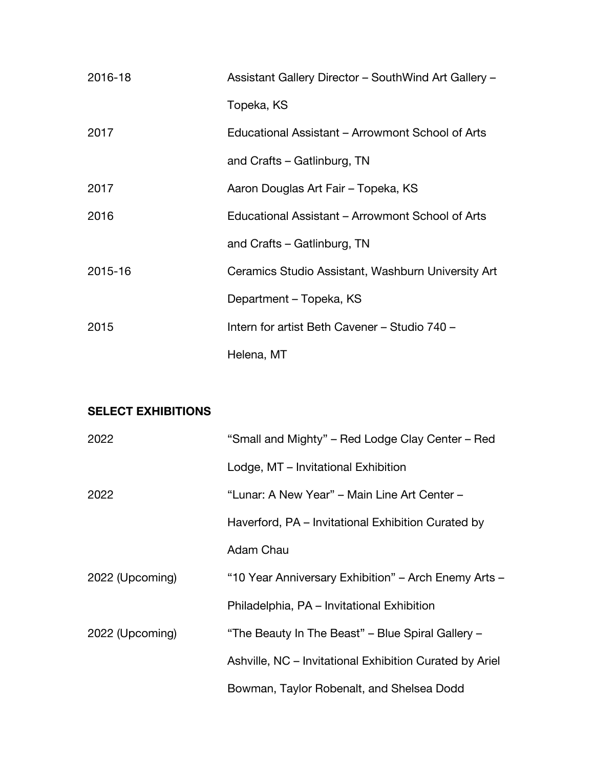| 2016-18 | Assistant Gallery Director - SouthWind Art Gallery - |
|---------|------------------------------------------------------|
|         | Topeka, KS                                           |
| 2017    | Educational Assistant – Arrowmont School of Arts     |
|         | and Crafts – Gatlinburg, TN                          |
| 2017    | Aaron Douglas Art Fair - Topeka, KS                  |
| 2016    | Educational Assistant – Arrowmont School of Arts     |
|         | and Crafts - Gatlinburg, TN                          |
| 2015-16 | Ceramics Studio Assistant, Washburn University Art   |
|         | Department – Topeka, KS                              |
| 2015    | Intern for artist Beth Cavener - Studio 740 -        |
|         | Helena, MT                                           |

## **SELECT EXHIBITIONS**

| 2022            | "Small and Mighty" - Red Lodge Clay Center - Red        |
|-----------------|---------------------------------------------------------|
|                 | Lodge, MT – Invitational Exhibition                     |
| 2022            | "Lunar: A New Year" – Main Line Art Center –            |
|                 | Haverford, PA – Invitational Exhibition Curated by      |
|                 | Adam Chau                                               |
| 2022 (Upcoming) | "10 Year Anniversary Exhibition" - Arch Enemy Arts -    |
|                 | Philadelphia, PA - Invitational Exhibition              |
| 2022 (Upcoming) | "The Beauty In The Beast" – Blue Spiral Gallery –       |
|                 | Ashville, NC - Invitational Exhibition Curated by Ariel |
|                 | Bowman, Taylor Robenalt, and Shelsea Dodd               |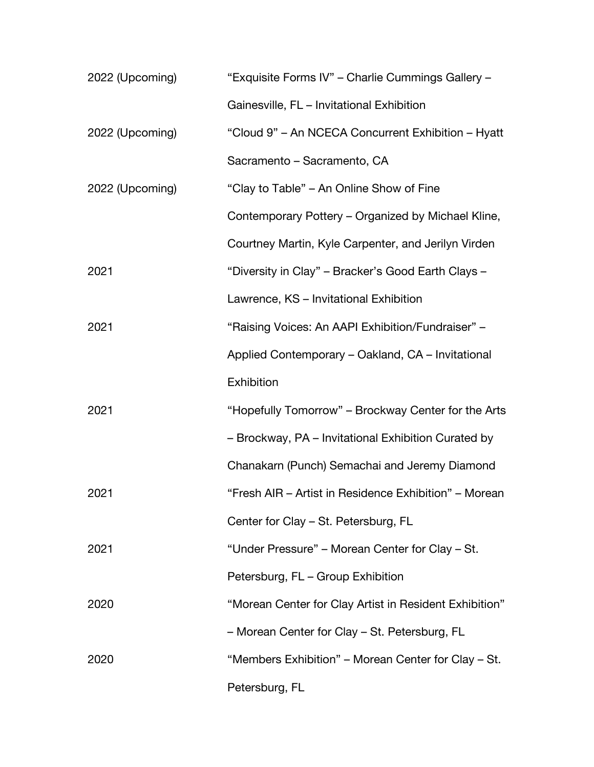| 2022 (Upcoming) | "Exquisite Forms IV" - Charlie Cummings Gallery -      |
|-----------------|--------------------------------------------------------|
|                 | Gainesville, FL - Invitational Exhibition              |
| 2022 (Upcoming) | "Cloud 9" - An NCECA Concurrent Exhibition - Hyatt     |
|                 | Sacramento - Sacramento, CA                            |
| 2022 (Upcoming) | "Clay to Table" – An Online Show of Fine               |
|                 | Contemporary Pottery – Organized by Michael Kline,     |
|                 | Courtney Martin, Kyle Carpenter, and Jerilyn Virden    |
| 2021            | "Diversity in Clay" – Bracker's Good Earth Clays –     |
|                 | Lawrence, KS - Invitational Exhibition                 |
| 2021            | "Raising Voices: An AAPI Exhibition/Fundraiser" -      |
|                 | Applied Contemporary - Oakland, CA - Invitational      |
|                 | Exhibition                                             |
| 2021            | "Hopefully Tomorrow" – Brockway Center for the Arts    |
|                 | - Brockway, PA - Invitational Exhibition Curated by    |
|                 | Chanakarn (Punch) Semachai and Jeremy Diamond          |
| 2021            | "Fresh AIR - Artist in Residence Exhibition" - Morean  |
|                 | Center for Clay - St. Petersburg, FL                   |
| 2021            | "Under Pressure" – Morean Center for Clay – St.        |
|                 | Petersburg, FL - Group Exhibition                      |
| 2020            | "Morean Center for Clay Artist in Resident Exhibition" |
|                 | - Morean Center for Clay - St. Petersburg, FL          |
| 2020            | "Members Exhibition" – Morean Center for Clay – St.    |
|                 | Petersburg, FL                                         |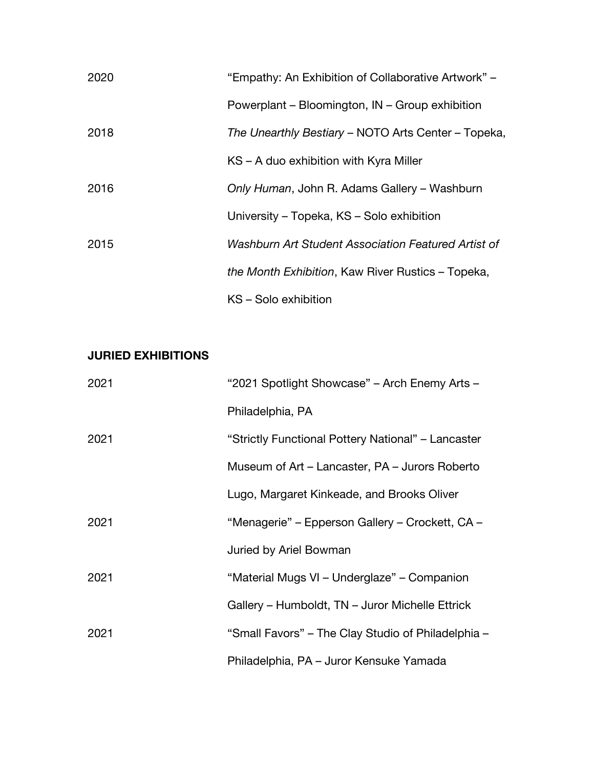| 2020 | "Empathy: An Exhibition of Collaborative Artwork" – |
|------|-----------------------------------------------------|
|      | Powerplant – Bloomington, IN – Group exhibition     |
| 2018 | The Unearthly Bestiary – NOTO Arts Center – Topeka, |
|      | KS – A duo exhibition with Kyra Miller              |
| 2016 | Only Human, John R. Adams Gallery – Washburn        |
|      | University – Topeka, KS – Solo exhibition           |
| 2015 | Washburn Art Student Association Featured Artist of |
|      | the Month Exhibition, Kaw River Rustics – Topeka,   |
|      | KS - Solo exhibition                                |

## **JURIED EXHIBITIONS**

| 2021 | "2021 Spotlight Showcase" - Arch Enemy Arts -      |
|------|----------------------------------------------------|
|      | Philadelphia, PA                                   |
| 2021 | "Strictly Functional Pottery National" – Lancaster |
|      | Museum of Art - Lancaster, PA - Jurors Roberto     |
|      | Lugo, Margaret Kinkeade, and Brooks Oliver         |
| 2021 | "Menagerie" – Epperson Gallery – Crockett, CA –    |
|      | Juried by Ariel Bowman                             |
| 2021 | "Material Mugs VI – Underglaze" – Companion        |
|      | Gallery – Humboldt, TN – Juror Michelle Ettrick    |
| 2021 | "Small Favors" – The Clay Studio of Philadelphia – |
|      | Philadelphia, PA – Juror Kensuke Yamada            |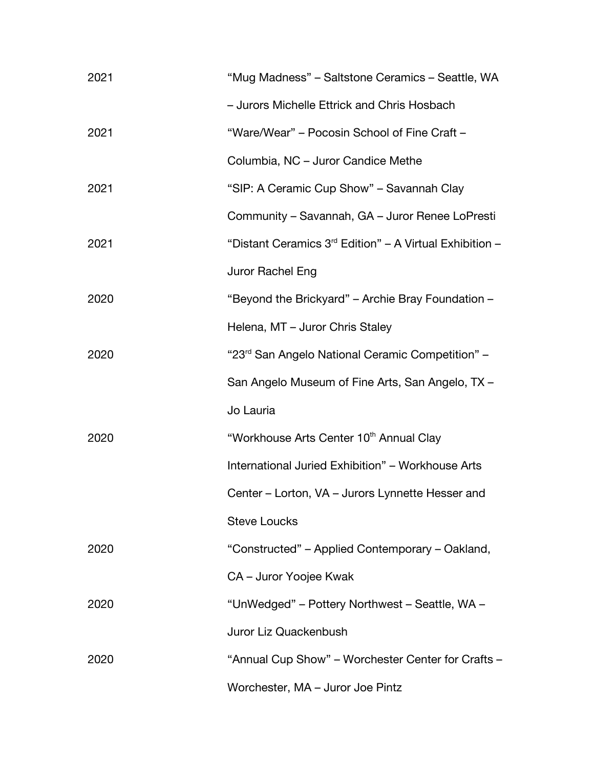| 2021 | "Mug Madness" - Saltstone Ceramics - Seattle, WA             |
|------|--------------------------------------------------------------|
|      | - Jurors Michelle Ettrick and Chris Hosbach                  |
| 2021 | "Ware/Wear" – Pocosin School of Fine Craft –                 |
|      | Columbia, NC - Juror Candice Methe                           |
| 2021 | "SIP: A Ceramic Cup Show" - Savannah Clay                    |
|      | Community – Savannah, GA – Juror Renee LoPresti              |
| 2021 | "Distant Ceramics $3rd$ Edition" – A Virtual Exhibition –    |
|      | Juror Rachel Eng                                             |
| 2020 | "Beyond the Brickyard" – Archie Bray Foundation –            |
|      | Helena, MT - Juror Chris Staley                              |
| 2020 | "23 <sup>rd</sup> San Angelo National Ceramic Competition" - |
|      | San Angelo Museum of Fine Arts, San Angelo, TX -             |
|      | Jo Lauria                                                    |
| 2020 | "Workhouse Arts Center 10th Annual Clay                      |
|      | International Juried Exhibition" - Workhouse Arts            |
|      | Center – Lorton, VA – Jurors Lynnette Hesser and             |
|      | <b>Steve Loucks</b>                                          |
| 2020 | "Constructed" – Applied Contemporary – Oakland,              |
|      | CA - Juror Yoojee Kwak                                       |
| 2020 | "UnWedged" - Pottery Northwest - Seattle, WA -               |
|      | Juror Liz Quackenbush                                        |
| 2020 | "Annual Cup Show" – Worchester Center for Crafts –           |
|      | Worchester, MA - Juror Joe Pintz                             |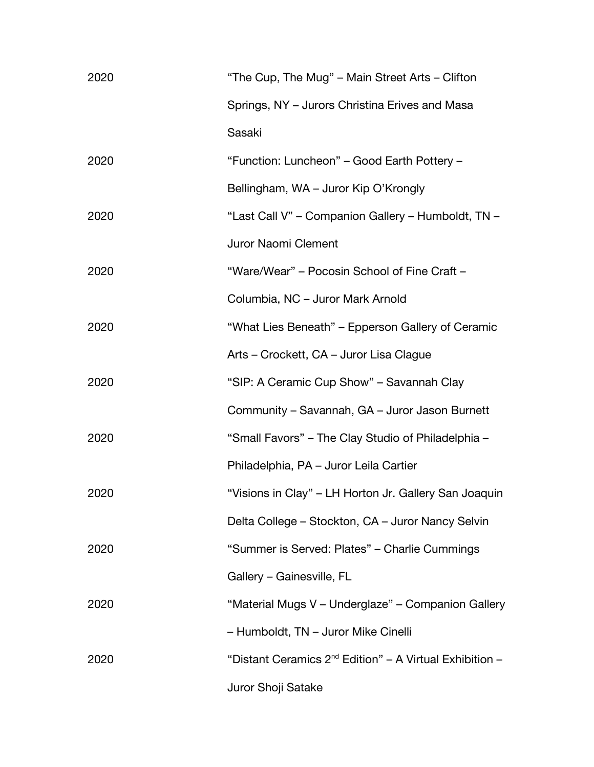| 2020 | "The Cup, The Mug" – Main Street Arts – Clifton              |
|------|--------------------------------------------------------------|
|      | Springs, NY - Jurors Christina Erives and Masa               |
|      | Sasaki                                                       |
| 2020 | "Function: Luncheon" – Good Earth Pottery –                  |
|      | Bellingham, WA - Juror Kip O'Krongly                         |
| 2020 | "Last Call V" - Companion Gallery - Humboldt, TN -           |
|      | Juror Naomi Clement                                          |
| 2020 | "Ware/Wear" – Pocosin School of Fine Craft –                 |
|      | Columbia, NC - Juror Mark Arnold                             |
| 2020 | "What Lies Beneath" – Epperson Gallery of Ceramic            |
|      | Arts – Crockett, CA – Juror Lisa Clague                      |
| 2020 | "SIP: A Ceramic Cup Show" - Savannah Clay                    |
|      | Community – Savannah, GA – Juror Jason Burnett               |
| 2020 | "Small Favors" - The Clay Studio of Philadelphia -           |
|      | Philadelphia, PA - Juror Leila Cartier                       |
| 2020 | "Visions in Clay" - LH Horton Jr. Gallery San Joaquin        |
|      | Delta College – Stockton, CA – Juror Nancy Selvin            |
| 2020 | "Summer is Served: Plates" - Charlie Cummings                |
|      | Gallery - Gainesville, FL                                    |
| 2020 | "Material Mugs V - Underglaze" - Companion Gallery           |
|      | - Humboldt, TN - Juror Mike Cinelli                          |
| 2020 | "Distant Ceramics $2^{nd}$ Edition" – A Virtual Exhibition – |
|      | Juror Shoji Satake                                           |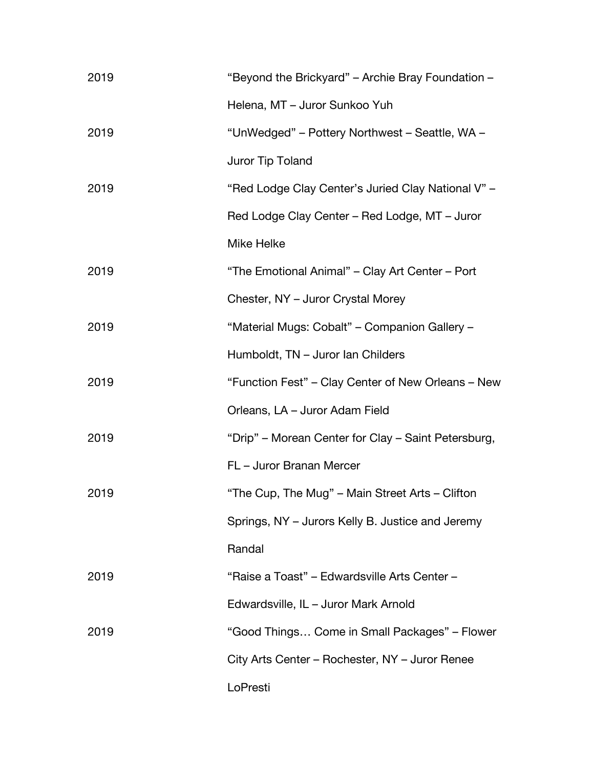| 2019 | "Beyond the Brickyard" – Archie Bray Foundation –   |
|------|-----------------------------------------------------|
|      | Helena, MT - Juror Sunkoo Yuh                       |
| 2019 | "UnWedged" – Pottery Northwest – Seattle, WA –      |
|      | Juror Tip Toland                                    |
| 2019 | "Red Lodge Clay Center's Juried Clay National V" -  |
|      | Red Lodge Clay Center – Red Lodge, MT – Juror       |
|      | Mike Helke                                          |
| 2019 | "The Emotional Animal" - Clay Art Center - Port     |
|      | Chester, NY - Juror Crystal Morey                   |
| 2019 | "Material Mugs: Cobalt" - Companion Gallery -       |
|      | Humboldt, TN - Juror Ian Childers                   |
| 2019 | "Function Fest" – Clay Center of New Orleans – New  |
|      | Orleans, LA - Juror Adam Field                      |
| 2019 | "Drip" – Morean Center for Clay – Saint Petersburg, |
|      | FL - Juror Branan Mercer                            |
| 2019 | "The Cup, The Mug" – Main Street Arts – Clifton     |
|      | Springs, NY – Jurors Kelly B. Justice and Jeremy    |
|      | Randal                                              |
| 2019 | "Raise a Toast" - Edwardsville Arts Center -        |
|      | Edwardsville, IL - Juror Mark Arnold                |
| 2019 | "Good Things Come in Small Packages" – Flower       |
|      | City Arts Center – Rochester, NY – Juror Renee      |
|      | LoPresti                                            |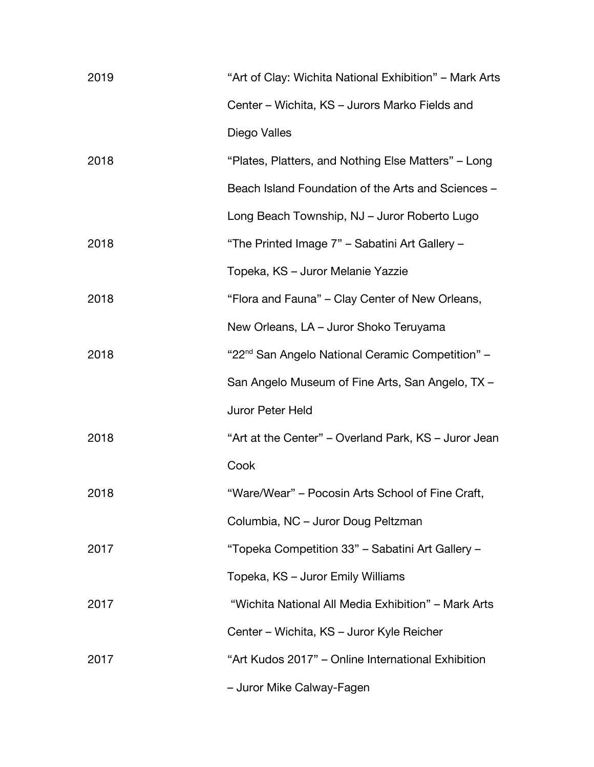| 2019 | "Art of Clay: Wichita National Exhibition" - Mark Arts       |
|------|--------------------------------------------------------------|
|      | Center - Wichita, KS - Jurors Marko Fields and               |
|      | Diego Valles                                                 |
| 2018 | "Plates, Platters, and Nothing Else Matters" – Long          |
|      | Beach Island Foundation of the Arts and Sciences -           |
|      | Long Beach Township, NJ - Juror Roberto Lugo                 |
| 2018 | "The Printed Image 7" - Sabatini Art Gallery -               |
|      | Topeka, KS - Juror Melanie Yazzie                            |
| 2018 | "Flora and Fauna" - Clay Center of New Orleans,              |
|      | New Orleans, LA - Juror Shoko Teruyama                       |
| 2018 | "22 <sup>nd</sup> San Angelo National Ceramic Competition" - |
|      | San Angelo Museum of Fine Arts, San Angelo, TX -             |
|      | Juror Peter Held                                             |
| 2018 | "Art at the Center" – Overland Park, KS – Juror Jean         |
|      | Cook                                                         |
| 2018 | "Ware/Wear" – Pocosin Arts School of Fine Craft,             |
|      | Columbia, NC - Juror Doug Peltzman                           |
| 2017 | "Topeka Competition 33" - Sabatini Art Gallery -             |
|      | Topeka, KS – Juror Emily Williams                            |
| 2017 | "Wichita National All Media Exhibition" - Mark Arts          |
|      | Center – Wichita, KS – Juror Kyle Reicher                    |
| 2017 | "Art Kudos 2017" – Online International Exhibition           |
|      | - Juror Mike Calway-Fagen                                    |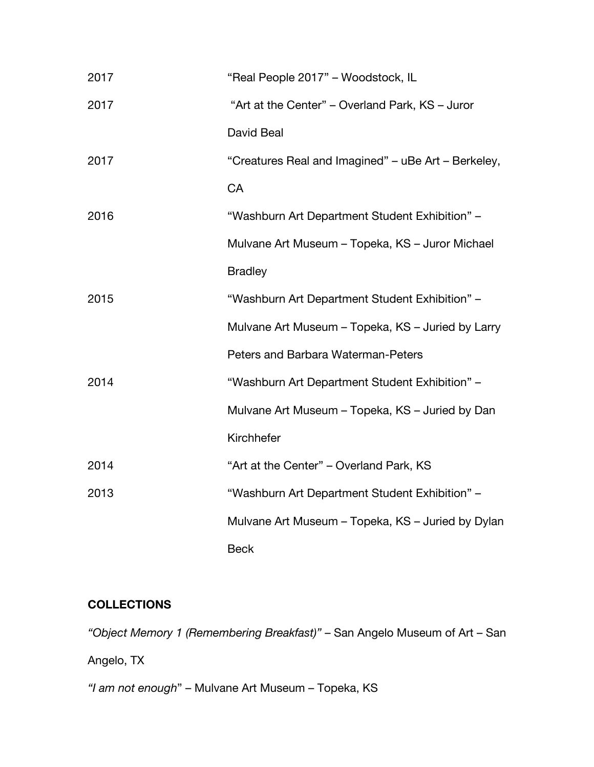| 2017 | "Real People 2017" - Woodstock, IL                  |
|------|-----------------------------------------------------|
| 2017 | "Art at the Center" – Overland Park, KS – Juror     |
|      | David Beal                                          |
| 2017 | "Creatures Real and Imagined" – uBe Art – Berkeley, |
|      | CA                                                  |
| 2016 | "Washburn Art Department Student Exhibition" -      |
|      | Mulvane Art Museum - Topeka, KS - Juror Michael     |
|      | <b>Bradley</b>                                      |
| 2015 | "Washburn Art Department Student Exhibition" -      |
|      | Mulvane Art Museum - Topeka, KS - Juried by Larry   |
|      | Peters and Barbara Waterman-Peters                  |
| 2014 | "Washburn Art Department Student Exhibition" -      |
|      | Mulvane Art Museum - Topeka, KS - Juried by Dan     |
|      | Kirchhefer                                          |
| 2014 | "Art at the Center" – Overland Park, KS             |
| 2013 | "Washburn Art Department Student Exhibition" -      |
|      | Mulvane Art Museum – Topeka, KS – Juried by Dylan   |
|      | <b>Beck</b>                                         |

## **COLLECTIONS**

*"Object Memory 1 (Remembering Breakfast)"* – San Angelo Museum of Art – San

Angelo, TX

*"I am not enough*" – Mulvane Art Museum – Topeka, KS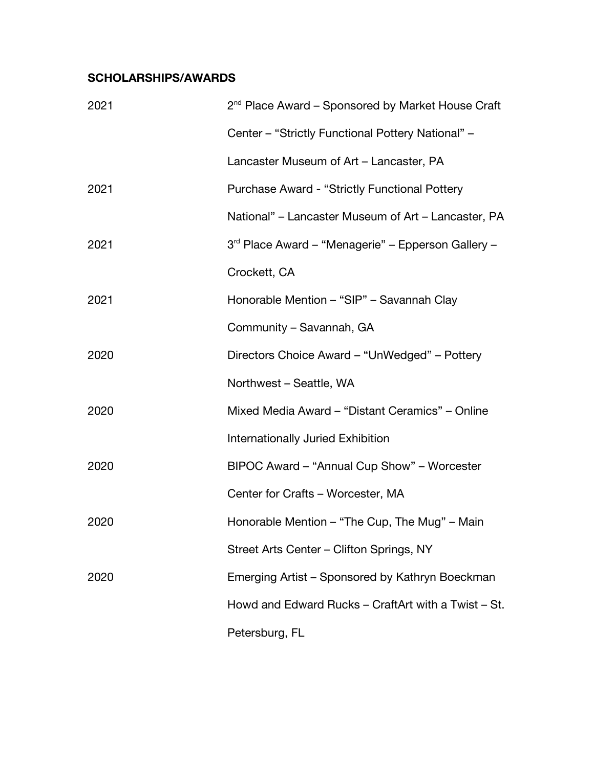## **SCHOLARSHIPS/AWARDS**

| 2021 | $2nd$ Place Award – Sponsored by Market House Craft            |
|------|----------------------------------------------------------------|
|      | Center - "Strictly Functional Pottery National" -              |
|      | Lancaster Museum of Art - Lancaster, PA                        |
| 2021 | <b>Purchase Award - "Strictly Functional Pottery</b>           |
|      | National" – Lancaster Museum of Art – Lancaster, PA            |
| 2021 | 3 <sup>rd</sup> Place Award – "Menagerie" – Epperson Gallery – |
|      | Crockett, CA                                                   |
| 2021 | Honorable Mention - "SIP" - Savannah Clay                      |
|      | Community - Savannah, GA                                       |
| 2020 | Directors Choice Award – "UnWedged" – Pottery                  |
|      | Northwest - Seattle, WA                                        |
| 2020 | Mixed Media Award - "Distant Ceramics" - Online                |
|      | Internationally Juried Exhibition                              |
| 2020 | BIPOC Award - "Annual Cup Show" - Worcester                    |
|      | Center for Crafts - Worcester, MA                              |
| 2020 | Honorable Mention - "The Cup, The Mug" - Main                  |
|      | Street Arts Center - Clifton Springs, NY                       |
| 2020 | Emerging Artist – Sponsored by Kathryn Boeckman                |
|      | Howd and Edward Rucks - CraftArt with a Twist - St.            |
|      | Petersburg, FL                                                 |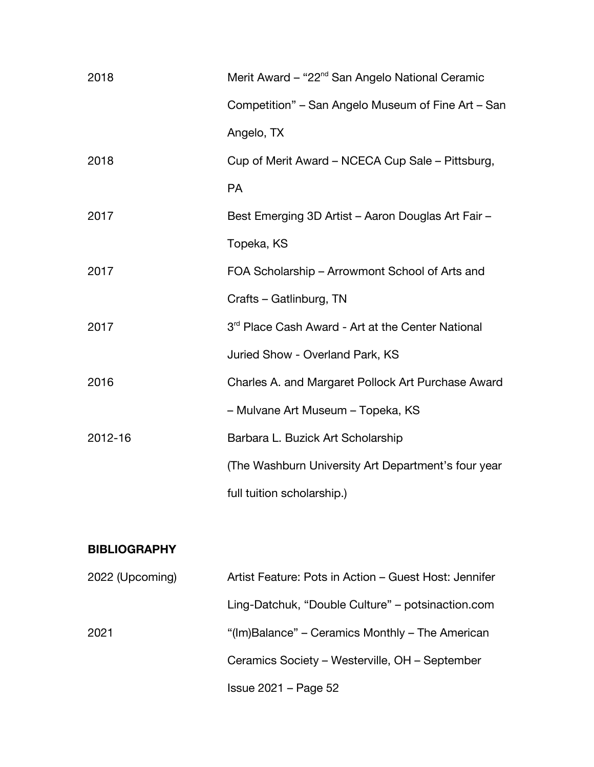| 2018    | Merit Award – "22 <sup>nd</sup> San Angelo National Ceramic   |
|---------|---------------------------------------------------------------|
|         | Competition" - San Angelo Museum of Fine Art - San            |
|         | Angelo, TX                                                    |
| 2018    | Cup of Merit Award – NCECA Cup Sale – Pittsburg,              |
|         | <b>PA</b>                                                     |
| 2017    | Best Emerging 3D Artist - Aaron Douglas Art Fair -            |
|         | Topeka, KS                                                    |
| 2017    | FOA Scholarship - Arrowmont School of Arts and                |
|         | Crafts - Gatlinburg, TN                                       |
| 2017    | 3 <sup>rd</sup> Place Cash Award - Art at the Center National |
|         | Juried Show - Overland Park, KS                               |
| 2016    | Charles A. and Margaret Pollock Art Purchase Award            |
|         | - Mulvane Art Museum - Topeka, KS                             |
| 2012-16 | Barbara L. Buzick Art Scholarship                             |
|         | (The Washburn University Art Department's four year           |
|         | full tuition scholarship.)                                    |
|         |                                                               |

#### **BIBLIOGRAPHY**

| 2022 (Upcoming) | Artist Feature: Pots in Action – Guest Host: Jennifer |
|-----------------|-------------------------------------------------------|
|                 | Ling-Datchuk, "Double Culture" – potsinaction.com     |
| 2021            | "(Im)Balance" – Ceramics Monthly – The American       |
|                 | Ceramics Society – Westerville, OH – September        |
|                 | $Is sue 2021 - Page 52$                               |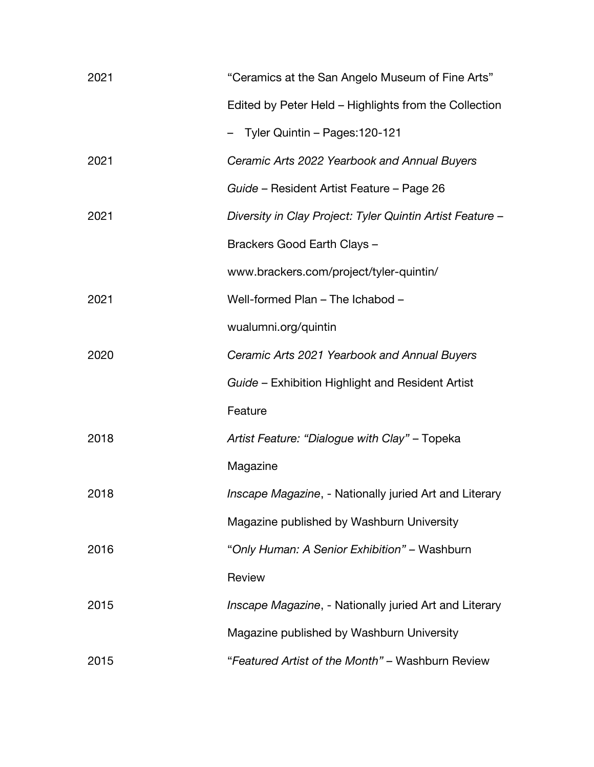| 2021 | "Ceramics at the San Angelo Museum of Fine Arts"          |
|------|-----------------------------------------------------------|
|      | Edited by Peter Held – Highlights from the Collection     |
|      | - Tyler Quintin - Pages: 120-121                          |
| 2021 | Ceramic Arts 2022 Yearbook and Annual Buyers              |
|      | Guide - Resident Artist Feature - Page 26                 |
| 2021 | Diversity in Clay Project: Tyler Quintin Artist Feature - |
|      | Brackers Good Earth Clays -                               |
|      | www.brackers.com/project/tyler-quintin/                   |
| 2021 | Well-formed Plan - The Ichabod -                          |
|      | wualumni.org/quintin                                      |
| 2020 | Ceramic Arts 2021 Yearbook and Annual Buyers              |
|      | Guide – Exhibition Highlight and Resident Artist          |
|      | Feature                                                   |
| 2018 | Artist Feature: "Dialogue with Clay" - Topeka             |
|      | Magazine                                                  |
| 2018 | Inscape Magazine, - Nationally juried Art and Literary    |
|      | Magazine published by Washburn University                 |
| 2016 | "Only Human: A Senior Exhibition" - Washburn              |
|      | Review                                                    |
| 2015 | Inscape Magazine, - Nationally juried Art and Literary    |
|      | Magazine published by Washburn University                 |
| 2015 | "Featured Artist of the Month" - Washburn Review          |